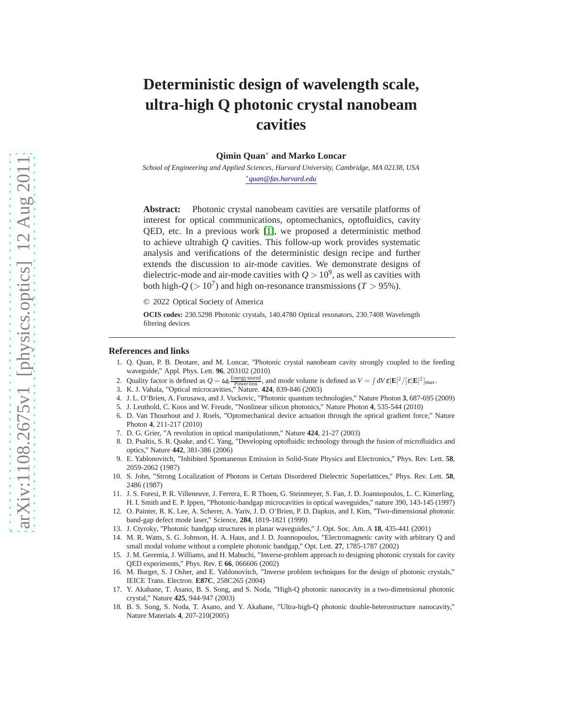# **Deterministic design of wavelength scale, ultra-high Q photonic crystal nanobeam cavities**

**Qimin Quan**∗ **and Marko Loncar**

*School of Engineering and Applied Sciences, Harvard University, Cambridge, MA 02138, USA* ∗ *quan@fas.harvard.edu*

**Abstract:** Photonic crystal nanobeam cavities are versatile platforms of interest for optical communications, optomechanics, optofluidics, cavity QED, etc. In a previous work [\[1\]](#page-0-0), we proposed a deterministic method to achieve ultrahigh *Q* cavities. This follow-up work provides systematic analysis and verifications of the deterministic design recipe and further extends the discussion to air-mode cavities. We demonstrate designs of dielectric-mode and air-mode cavities with  $Q > 10^9$ , as well as cavities with both high- $Q$  ( $> 10<sup>7</sup>$ ) and high on-resonance transmissions (*T*  $> 95%$ ).

© 2022 Optical Society of America

**OCIS codes:** 230.5298 Photonic crystals, 140.4780 Optical resonators, 230.7408 Wavelength filtering devices

#### <span id="page-0-0"></span>**References and links**

- 1. Q. Quan, P. B. Deotare, and M. Loncar, "Photonic crystal nanobeam cavity strongly coupled to the feeding waveguide," Appl. Phys. Lett. **96**, 203102 (2010)
- <span id="page-0-1"></span>2. Quality factor is defined as  $Q = \omega_0 \frac{\text{Energy stored}}{\text{Powerloss}}$ , and mode volume is defined as  $V = \int dV \varepsilon |\mathbf{E}|^2 / [\varepsilon |\mathbf{E}|^2]_{\text{max}}$ .
- <span id="page-0-3"></span><span id="page-0-2"></span>3. K. J. Vahala, "Optical microcavities," Nature. **424**, 839-846 (2003)
- 4. J. L. O'Brien, A. Furusawa, and J. Vuckovic, "Photonic quantum technologies," Nature Photon **3**, 687-695 (2009)
- <span id="page-0-4"></span>5. J. Leuthold, C. Koos and W. Freude, "Nonlinear silicon photonics," Nature Photon **4**, 535-544 (2010)
- <span id="page-0-5"></span>6. D. Van Thourhout and J. Roels, "Optomechanical device actuation through the optical gradient force," Nature Photon **4**, 211-217 (2010)
- <span id="page-0-6"></span>7. D. G. Grier, "A revolution in optical manipulationm," Nature **424**, 21-27 (2003)
- <span id="page-0-7"></span>8. D. Psaltis, S. R. Quake, and C. Yang, "Developing optofluidic technology through the fusion of microfluidics and optics," Nature **442**, 381-386 (2006)
- <span id="page-0-8"></span>9. E. Yablonovitch, "Inhibited Spontaneous Emission in Solid-State Physics and Electronics," Phys. Rev. Lett. **58**, 2059-2062 (1987)
- <span id="page-0-9"></span>10. S. John, "Strong Localization of Photons in Certain Disordered Dielectric Superlattices," Phys. Rev. Lett. **58**, 2486 (1987)
- <span id="page-0-10"></span>11. J. S. Foresi, P. R. Villeneuve, J. Ferrera, E. R Thoen, G. Steinmeyer, S. Fan, J. D. Joannopoulos, L. C. Kimerling, H. I. Smith and E. P. Ippen, "Photonic-bandgap microcavities in optical waveguides," nature 390, 143-145 (1997)
- 12. O. Painter, R. K. Lee, A. Scherer, A. Yariv, J. D. O'Brien, P. D. Dapkus, and I. Kim, "Two-dimensional photonic band-gap defect mode laser," Science, **284**, 1819-1821 (1999)
- 13. J. Ctyroky, "Photonic bandgap structures in planar waveguides," J. Opt. Soc. Am. A **18**, 435-441 (2001)
- 14. M. R. Watts, S. G. Johnson, H. A. Haus, and J. D. Joannopoulos, "Electromagnetic cavity with arbitrary Q and small modal volume without a complete photonic bandgap," Opt. Lett. **27**, 1785-1787 (2002)
- 15. J. M. Geremia, J. Williams, and H. Mabuchi, "Inverse-problem approach to designing photonic crystals for cavity QED experiments," Phys. Rev. E **66**, 066606 (2002)
- 16. M. Burger, S. J Osher, and E. Yablonovitch, "Inverse problem techniques for the design of photonic crystals," IEICE Trans. Electron. **E87C**, 258C265 (2004)
- <span id="page-0-11"></span>17. Y. Akahane, T. Asano, B. S. Song, and S. Noda, "High-Q photonic nanocavity in a two-dimensional photonic crystal," Nature **425**, 944-947 (2003)
- 18. B. S. Song, S. Noda, T. Asano, and Y. Akahane, "Ultra-high-Q photonic double-heterostructure nanocavity," Nature Materials **4**, 207-210(2005)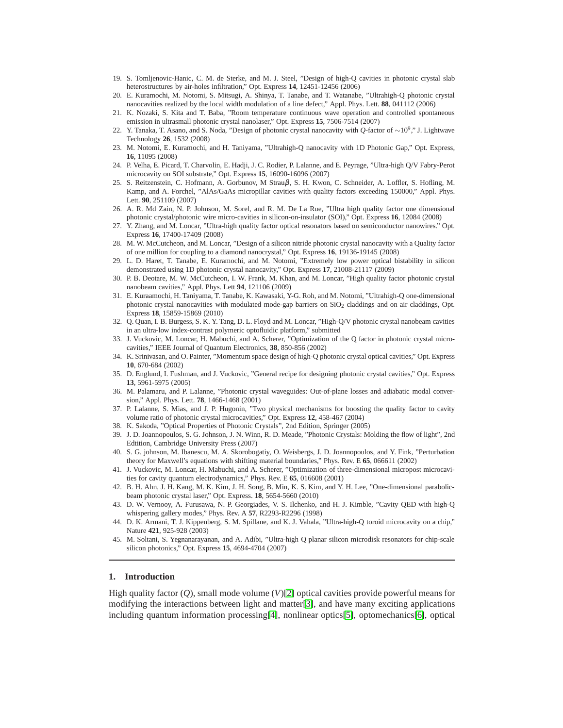- 19. S. Tomljenovic-Hanic, C. M. de Sterke, and M. J. Steel, "Design of high-Q cavities in photonic crystal slab heterostructures by air-holes infiltration," Opt. Express **14**, 12451-12456 (2006)
- 20. E. Kuramochi, M. Notomi, S. Mitsugi, A. Shinya, T. Tanabe, and T. Watanabe, "Ultrahigh-Q photonic crystal nanocavities realized by the local width modulation of a line defect," Appl. Phys. Lett. **88**, 041112 (2006)
- 21. K. Nozaki, S. Kita and T. Baba, "Room temperature continuous wave operation and controlled spontaneous emission in ultrasmall photonic crystal nanolaser," Opt. Express **15**, 7506-7514 (2007)
- <span id="page-1-1"></span>22. Y. Tanaka, T. Asano, and S. Noda, "Design of photonic crystal nanocavity with *<sup>Q</sup>*-factor of <sup>∼</sup>10<sup>9</sup> ," J. Lightwave Technology **26**, 1532 (2008)
- <span id="page-1-2"></span>23. M. Notomi, E. Kuramochi, and H. Taniyama, "Ultrahigh-Q nanocavity with 1D Photonic Gap," Opt. Express, **16**, 11095 (2008)
- 24. P. Velha, E. Picard, T. Charvolin, E. Hadji, J. C. Rodier, P. Lalanne, and E. Peyrage, "Ultra-high Q/V Fabry-Perot microcavity on SOI substrate," Opt. Express **15**, 16090-16096 (2007)
- 25. S. Reitzenstein, C. Hofmann, A. Gorbunov, M Strauβ, S. H. Kwon, C. Schneider, A. Loffler, S. Hofling, M. Kamp, and A. Forchel, "AlAs/GaAs micropillar cavities with quality factors exceeding 150000," Appl. Phys. Lett. **90**, 251109 (2007)
- 26. A. R. Md Zain, N. P. Johnson, M. Sorel, and R. M. De La Rue, "Ultra high quality factor one dimensional photonic crystal/photonic wire micro-cavities in silicon-on-insulator (SOI)," Opt. Express **16**, 12084 (2008)
- 27. Y. Zhang, and M. Loncar, "Ultra-high quality factor optical resonators based on semiconductor nanowires." Opt. Express **16**, 17400-17409 (2008)
- 28. M. W. McCutcheon, and M. Loncar, "Design of a silicon nitride photonic crystal nanocavity with a Quality factor of one million for coupling to a diamond nanocrystal," Opt. Express **16**, 19136-19145 (2008)
- 29. L. D. Haret, T. Tanabe, E. Kuramochi, and M. Notomi, "Extremely low power optical bistability in silicon demonstrated using 1D photonic crystal nanocavity," Opt. Express **17**, 21008-21117 (2009)
- <span id="page-1-0"></span>30. P. B. Deotare, M. W. McCutcheon, I. W. Frank, M. Khan, and M. Loncar, "High quality factor photonic crystal nanobeam cavities," Appl. Phys. Lett **94**, 121106 (2009)
- <span id="page-1-3"></span>31. E. Kuraamochi, H. Taniyama, T. Tanabe, K. Kawasaki, Y-G. Roh, and M. Notomi, "Ultrahigh-Q one-dimensional photonic crystal nanocavities with modulated mode-gap barriers on SiO<sub>2</sub> claddings and on air claddings, Opt. Express **18**, 15859-15869 (2010)
- <span id="page-1-4"></span>32. Q. Quan, I. B. Burgess, S. K. Y. Tang, D. L. Floyd and M. Loncar, "High-Q/V photonic crystal nanobeam cavities in an ultra-low index-contrast polymeric optofluidic platform," submitted
- <span id="page-1-5"></span>33. J. Vuckovic, M. Loncar, H. Mabuchi, and A. Scherer, "Optimization of the Q factor in photonic crystal microcavities," IEEE Journal of Quantum Electronics, **38**, 850-856 (2002)
- <span id="page-1-6"></span>34. K. Srinivasan, and O. Painter, "Momentum space design of high-Q photonic crystal optical cavities," Opt. Express **10**, 670-684 (2002)
- <span id="page-1-7"></span>35. D. Englund, I. Fushman, and J. Vuckovic, "General recipe for designing photonic crystal cavities," Opt. Express **13**, 5961-5975 (2005)
- <span id="page-1-8"></span>36. M. Palamaru, and P. Lalanne, "Photonic crystal waveguides: Out-of-plane losses and adiabatic modal conversion," Appl. Phys. Lett. **78**, 1466-1468 (2001)
- <span id="page-1-9"></span>37. P. Lalanne, S. Mias, and J. P. Hugonin, "Two physical mechanisms for boosting the quality factor to cavity volume ratio of photonic crystal microcavities," Opt. Express **12**, 458-467 (2004)
- <span id="page-1-10"></span>38. K. Sakoda, "Optical Properties of Photonic Crystals", 2nd Edition, Springer (2005)
- <span id="page-1-11"></span>39. J. D. Joannopoulos, S. G. Johnson, J. N. Winn, R. D. Meade, "Photonic Crystals: Molding the flow of light", 2nd Edtition, Cambridge University Press (2007)
- <span id="page-1-12"></span>40. S. G. johnson, M. Ibanescu, M. A. Skorobogatiy, O. Weisbergs, J. D. Joannopoulos, and Y. Fink, "Perturbation theory for Maxwell's equations with shifting material boundaries," Phys. Rev. E **65**, 066611 (2002)
- <span id="page-1-13"></span>41. J. Vuckovic, M. Loncar, H. Mabuchi, and A. Scherer, "Optimization of three-dimensional micropost microcavities for cavity quantum electrodynamics," Phys. Rev. E **65**, 016608 (2001)
- <span id="page-1-14"></span>42. B. H. Ahn, J. H. Kang, M. K. Kim, J. H. Song, B. Min, K. S. Kim, and Y. H. Lee, "One-dimensional parabolicbeam photonic crystal laser," Opt. Express. **18**, 5654-5660 (2010)
- <span id="page-1-15"></span>43. D. W. Vernooy, A. Furusawa, N. P. Georgiades, V. S. Ilchenko, and H. J. Kimble, "Cavity QED with high-Q whispering gallery modes," Phys. Rev. A **57**, R2293-R2296 (1998)
- 44. D. K. Armani, T. J. Kippenberg, S. M. Spillane, and K. J. Vahala, "Ultra-high-Q toroid microcavity on a chip," Nature **421**, 925-928 (2003)
- <span id="page-1-16"></span>45. M. Soltani, S. Yegnanarayanan, and A. Adibi, "Ultra-high Q planar silicon microdisk resonators for chip-scale silicon photonics," Opt. Express **15**, 4694-4704 (2007)

#### **1. Introduction**

High quality factor (*Q*), small mode volume (*V*)[\[2\]](#page-0-1) optical cavities provide powerful means for modifying the interactions between light and matter[\[3\]](#page-0-2), and have many exciting applications including quantum information processing[\[4\]](#page-0-3), nonlinear optics[\[5\]](#page-0-4), optomechanics[\[6\]](#page-0-5), optical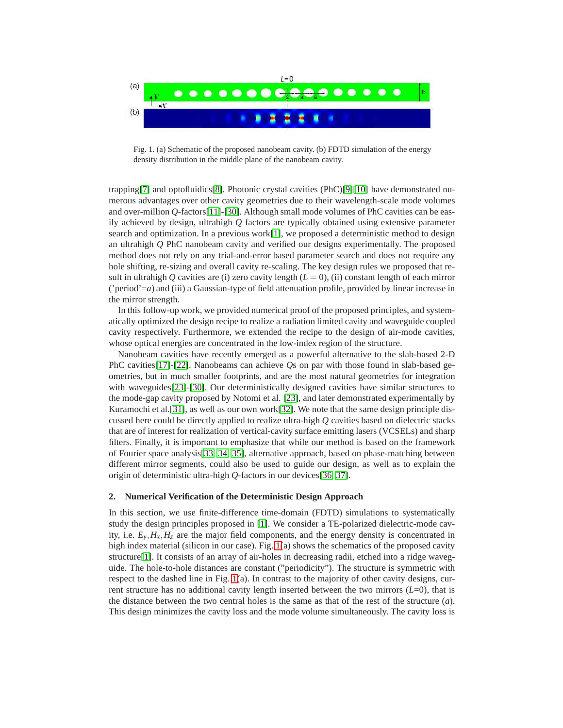

<span id="page-2-0"></span>Fig. 1. (a) Schematic of the proposed nanobeam cavity. (b) FDTD simulation of the energy density distribution in the middle plane of the nanobeam cavity.

trapping[\[7\]](#page-0-6) and optofluidics[\[8\]](#page-0-7). Photonic crystal cavities (PhC)[\[9\]](#page-0-8)[\[10\]](#page-0-9) have demonstrated numerous advantages over other cavity geometries due to their wavelength-scale mode volumes and over-million *Q*-factors[\[11\]](#page-0-10)-[\[30\]](#page-1-0). Although small mode volumes of PhC cavities can be easily achieved by design, ultrahigh *Q* factors are typically obtained using extensive parameter search and optimization. In a previous work $[1]$ , we proposed a deterministic method to design an ultrahigh *Q* PhC nanobeam cavity and verified our designs experimentally. The proposed method does not rely on any trial-and-error based parameter search and does not require any hole shifting, re-sizing and overall cavity re-scaling. The key design rules we proposed that result in ultrahigh  $Q$  cavities are (i) zero cavity length  $(L = 0)$ , (ii) constant length of each mirror ('period'=*a*) and (iii) a Gaussian-type of field attenuation profile, provided by linear increase in the mirror strength.

In this follow-up work, we provided numerical proof of the proposed principles, and systematically optimized the design recipe to realize a radiation limited cavity and waveguide coupled cavity respectively. Furthermore, we extended the recipe to the design of air-mode cavities, whose optical energies are concentrated in the low-index region of the structure.

Nanobeam cavities have recently emerged as a powerful alternative to the slab-based 2-D PhC cavities[\[17\]](#page-0-11)-[\[22\]](#page-1-1). Nanobeams can achieve *Q*s on par with those found in slab-based geometries, but in much smaller footprints, and are the most natural geometries for integration with waveguides[\[23\]](#page-1-2)-[\[30\]](#page-1-0). Our deterministically designed cavities have similar structures to the mode-gap cavity proposed by Notomi et al. [\[23\]](#page-1-2), and later demonstrated experimentally by Kuramochi et al.[\[31\]](#page-1-3), as well as our own work[\[32\]](#page-1-4). We note that the same design principle discussed here could be directly applied to realize ultra-high *Q* cavities based on dielectric stacks that are of interest for realization of vertical-cavity surface emitting lasers (VCSELs) and sharp filters. Finally, it is important to emphasize that while our method is based on the framework of Fourier space analysis[\[33,](#page-1-5) [34,](#page-1-6) [35\]](#page-1-7), alternative approach, based on phase-matching between different mirror segments, could also be used to guide our design, as well as to explain the origin of deterministic ultra-high *Q*-factors in our devices[\[36,](#page-1-8) [37\]](#page-1-9).

#### **2. Numerical Verification of the Deterministic Design Approach**

In this section, we use finite-difference time-domain (FDTD) simulations to systematically study the design principles proposed in [\[1\]](#page-0-0). We consider a TE-polarized dielectric-mode cavity, i.e.  $E_y$ ,  $H_x$ ,  $H_z$  are the major field components, and the energy density is concentrated in high index material (silicon in our case). Fig. [1\(](#page-2-0)a) shows the schematics of the proposed cavity structure[\[1\]](#page-0-0). It consists of an array of air-holes in decreasing radii, etched into a ridge waveguide. The hole-to-hole distances are constant ("periodicity"). The structure is symmetric with respect to the dashed line in Fig. [1\(](#page-2-0)a). In contrast to the majority of other cavity designs, current structure has no additional cavity length inserted between the two mirrors (*L*=0), that is the distance between the two central holes is the same as that of the rest of the structure (*a*). This design minimizes the cavity loss and the mode volume simultaneously. The cavity loss is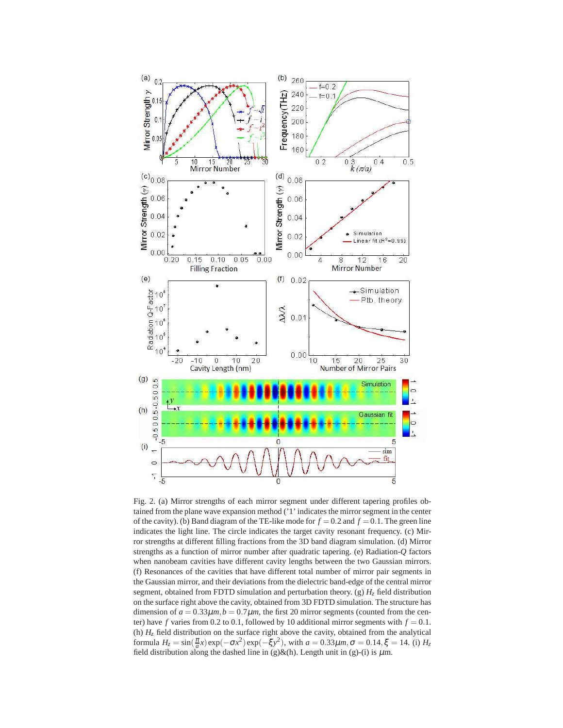

<span id="page-3-0"></span>Fig. 2. (a) Mirror strengths of each mirror segment under different tapering profiles obtained from the plane wave expansion method ('1' indicates the mirror segment in the center of the cavity). (b) Band diagram of the TE-like mode for  $f = 0.2$  and  $f = 0.1$ . The green line indicates the light line. The circle indicates the target cavity resonant frequency. (c) Mirror strengths at different filling fractions from the 3D band diagram simulation. (d) Mirror strengths as a function of mirror number after quadratic tapering. (e) Radiation-*Q* factors when nanobeam cavities have different cavity lengths between the two Gaussian mirrors. (f) Resonances of the cavities that have different total number of mirror pair segments in the Gaussian mirror, and their deviations from the dielectric band-edge of the central mirror segment, obtained from FDTD simulation and perturbation theory. (g)  $H<sub>z</sub>$  field distribution on the surface right above the cavity, obtained from 3D FDTD simulation. The structure has dimension of  $a = 0.33 \mu m$ ,  $b = 0.7 \mu m$ , the first 20 mirror segments (counted from the center) have  $f$  varies from 0.2 to 0.1, followed by 10 additional mirror segments with  $f = 0.1$ . (h)  $H<sub>z</sub>$  field distribution on the surface right above the cavity, obtained from the analytical formula  $H_z = \sin(\frac{\pi}{a}x) \exp(-\sigma x^2) \exp(-\xi y^2)$ , with  $a = 0.33 \mu m, \sigma = 0.14, \xi = 14$ . (i)  $H_z$ field distribution along the dashed line in (g)&(h). Length unit in (g)-(i) is  $\mu$ m.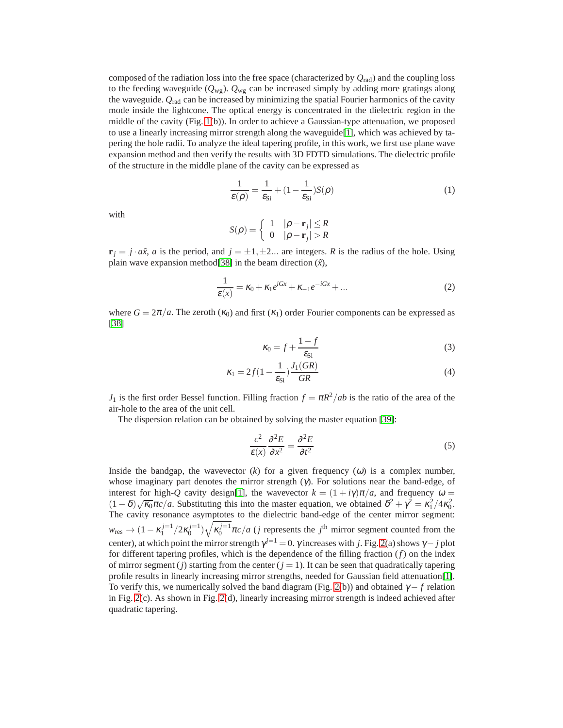composed of the radiation loss into the free space (characterized by *Q*rad) and the coupling loss to the feeding waveguide (*Q*wg). *Q*wg can be increased simply by adding more gratings along the waveguide. *Q*rad can be increased by minimizing the spatial Fourier harmonics of the cavity mode inside the lightcone. The optical energy is concentrated in the dielectric region in the middle of the cavity (Fig. [1\(](#page-2-0)b)). In order to achieve a Gaussian-type attenuation, we proposed to use a linearly increasing mirror strength along the waveguide[\[1\]](#page-0-0), which was achieved by tapering the hole radii. To analyze the ideal tapering profile, in this work, we first use plane wave expansion method and then verify the results with 3D FDTD simulations. The dielectric profile of the structure in the middle plane of the cavity can be expressed as

$$
\frac{1}{\varepsilon(\rho)} = \frac{1}{\varepsilon_{\text{Si}}} + (1 - \frac{1}{\varepsilon_{\text{Si}}})S(\rho)
$$
 (1)

with

$$
S(\rho) = \begin{cases} 1 & |\rho - \mathbf{r}_j| \le R \\ 0 & |\rho - \mathbf{r}_j| > R \end{cases}
$$

 $\mathbf{r}_i = j \cdot a\hat{x}$ , *a* is the period, and  $j = \pm 1, \pm 2, \dots$  are integers. *R* is the radius of the hole. Using plain wave expansion method<sup>[\[38\]](#page-1-10)</sup> in the beam direction  $(\hat{x})$ ,

$$
\frac{1}{\varepsilon(x)} = \kappa_0 + \kappa_1 e^{iGx} + \kappa_{-1} e^{-iGx} + \dots \tag{2}
$$

where  $G = 2\pi/a$ . The zeroth  $(\kappa_0)$  and first  $(\kappa_1)$  order Fourier components can be expressed as [\[38\]](#page-1-10)

$$
\kappa_0 = f + \frac{1 - f}{\varepsilon_{\text{Si}}}
$$
\n<sup>(3)</sup>

$$
\kappa_1 = 2f(1 - \frac{1}{\varepsilon_{\text{Si}}}) \frac{J_1(GR)}{GR} \tag{4}
$$

*J*<sub>1</sub> is the first order Bessel function. Filling fraction  $f = \pi R^2 / ab$  is the ratio of the area of the air-hole to the area of the unit cell.

The dispersion relation can be obtained by solving the master equation [\[39\]](#page-1-11):

$$
\frac{c^2}{\varepsilon(x)}\frac{\partial^2 E}{\partial x^2} = \frac{\partial^2 E}{\partial t^2}
$$
 (5)

Inside the bandgap, the wavevector  $(k)$  for a given frequency  $(\omega)$  is a complex number, whose imaginary part denotes the mirror strength (γ). For solutions near the band-edge, of interest for high-*Q* cavity design[\[1\]](#page-0-0), the wavevector  $k = (1 + i\gamma)\pi/a$ , and frequency  $\omega =$  $(1 - \delta)\sqrt{\kappa_0}\pi c/a$ . Substituting this into the master equation, we obtained  $\delta^2 + \gamma^2 = \kappa_1^2/4\kappa_0^2$ . The cavity resonance asymptotes to the dielectric band-edge of the center mirror segment:  $w_{\text{res}} \to (1 - \kappa_1^{j=1}/2\kappa_0^{j=1})\sqrt{\kappa_0^{j=1}}\pi c/a$  (*j* represents the *j*<sup>th</sup> mirror segment counted from the center), at which point the mirror strength  $\gamma^{j=1} = 0$ .  $\gamma$  increases with *j*. Fig. [2\(](#page-3-0)a) shows  $\gamma - j$  plot for different tapering profiles, which is the dependence of the filling fraction (*f*) on the index of mirror segment  $(j)$  starting from the center  $(j = 1)$ . It can be seen that quadratically tapering profile results in linearly increasing mirror strengths, needed for Gaussian field attenuation[\[1\]](#page-0-0). To verify this, we numerically solved the band diagram (Fig. [2\(](#page-3-0)b)) and obtained  $\gamma - f$  relation in Fig. [2\(](#page-3-0)c). As shown in Fig. [2\(](#page-3-0)d), linearly increasing mirror strength is indeed achieved after quadratic tapering.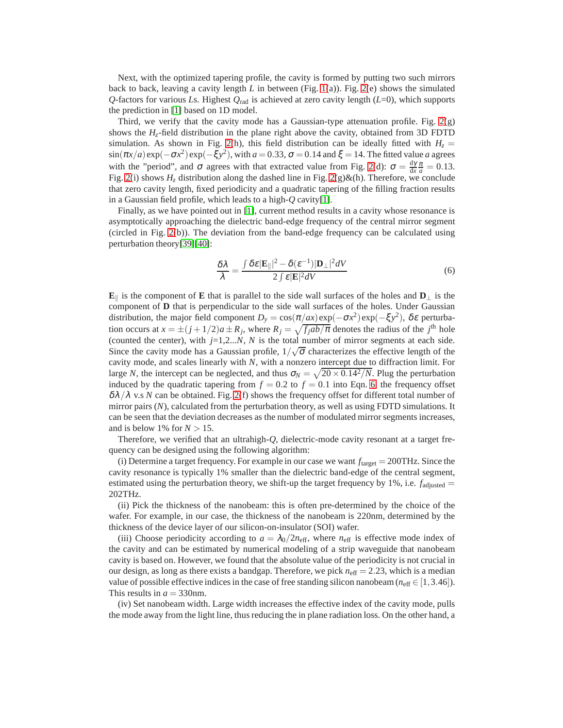Next, with the optimized tapering profile, the cavity is formed by putting two such mirrors back to back, leaving a cavity length *L* in between (Fig. [1\(](#page-2-0)a)). Fig. [2\(](#page-3-0)e) shows the simulated *Q*-factors for various *L*s. Highest *Q*rad is achieved at zero cavity length (*L*=0), which supports the prediction in [\[1\]](#page-0-0) based on 1D model.

Third, we verify that the cavity mode has a Gaussian-type attenuation profile. Fig.  $2(g)$ shows the *Hz*-field distribution in the plane right above the cavity, obtained from 3D FDTD simulation. As shown in Fig. [2\(](#page-3-0)h), this field distribution can be ideally fitted with  $H<sub>z</sub>$  =  $\sin(\pi x/a) \exp(-\sigma x^2) \exp(-\xi y^2)$ , with  $a = 0.33$ ,  $\sigma = 0.14$  and  $\xi = 14$ . The fitted value *a* agrees with the "period", and  $\sigma$  agrees with that extracted value from Fig. [2\(](#page-3-0)d):  $\sigma = \frac{dy}{dx}$  $\frac{dy}{dx} \frac{\pi}{a} = 0.13.$ Fig. [2\(](#page-3-0)i) shows  $H_z$  distribution along the dashed line in Fig. 2(g)&(h). Therefore, we conclude that zero cavity length, fixed periodicity and a quadratic tapering of the filling fraction results in a Gaussian field profile, which leads to a high-*Q* cavity[\[1\]](#page-0-0).

Finally, as we have pointed out in [\[1\]](#page-0-0), current method results in a cavity whose resonance is asymptotically approaching the dielectric band-edge frequency of the central mirror segment (circled in Fig. [2\(](#page-3-0)b)). The deviation from the band-edge frequency can be calculated using perturbation theory[\[39\]](#page-1-11)[\[40\]](#page-1-12):

<span id="page-5-0"></span>
$$
\frac{\delta \lambda}{\lambda} = \frac{\int \delta \varepsilon |\mathbf{E}_{\parallel}|^2 - \delta(\varepsilon^{-1}) |\mathbf{D}_{\perp}|^2 dV}{2 \int \varepsilon |\mathbf{E}|^2 dV} \tag{6}
$$

**E**k is the component of **E** that is parallel to the side wall surfaces of the holes and **D**<sup>⊥</sup> is the component of **D** that is perpendicular to the side wall surfaces of the holes. Under Gaussian distribution, the major field component  $D_y = \cos(\pi/ax) \exp(-\sigma x^2) \exp(-\xi y^2)$ ,  $\delta \varepsilon$  perturbation occurs at  $x = \pm (j + 1/2)a \pm R_j$ , where  $R_j = \sqrt{f_j ab / \pi}$  denotes the radius of the *j*<sup>th</sup> hole (counted the center), with *j*=1,2...*N*, *N* is the total number of mirror segments at each side. Since the cavity mode has a Gaussian profile,  $1/\sqrt{\sigma}$  characterizes the effective length of the cavity mode, and scales linearly with *N*, with a nonzero intercept due to diffraction limit. For large *N*, the intercept can be neglected, and thus  $\sigma_N = \sqrt{20 \times 0.14^2/N}$ . Plug the perturbation induced by the quadratic tapering from  $f = 0.2$  to  $f = 0.1$  into Eqn. [6,](#page-5-0) the frequency offset  $\delta\lambda/\lambda$  v.s *N* can be obtained. Fig. [2\(](#page-3-0)f) shows the frequency offset for different total number of mirror pairs (*N*), calculated from the perturbation theory, as well as using FDTD simulations. It can be seen that the deviation decreases as the number of modulated mirror segments increases, and is below 1% for  $N > 15$ .

Therefore, we verified that an ultrahigh-*Q*, dielectric-mode cavity resonant at a target frequency can be designed using the following algorithm:

(i) Determine a target frequency. For example in our case we want  $f_{\text{target}} = 200 \text{THz}$ . Since the cavity resonance is typically 1% smaller than the dielectric band-edge of the central segment, estimated using the perturbation theory, we shift-up the target frequency by 1%, i.e.  $f_{\text{adjusted}} =$ 202THz.

(ii) Pick the thickness of the nanobeam: this is often pre-determined by the choice of the wafer. For example, in our case, the thickness of the nanobeam is 220nm, determined by the thickness of the device layer of our silicon-on-insulator (SOI) wafer.

(iii) Choose periodicity according to  $a = \lambda_0/2n_{\text{eff}}$ , where  $n_{\text{eff}}$  is effective mode index of the cavity and can be estimated by numerical modeling of a strip waveguide that nanobeam cavity is based on. However, we found that the absolute value of the periodicity is not crucial in our design, as long as there exists a bandgap. Therefore, we pick  $n_{\text{eff}} = 2.23$ , which is a median value of possible effective indices in the case of free standing silicon nanobeam ( $n_{\text{eff}} \in [1, 3.46]$ ). This results in  $a = 330$ nm.

(iv) Set nanobeam width. Large width increases the effective index of the cavity mode, pulls the mode away from the light line, thus reducing the in plane radiation loss. On the other hand, a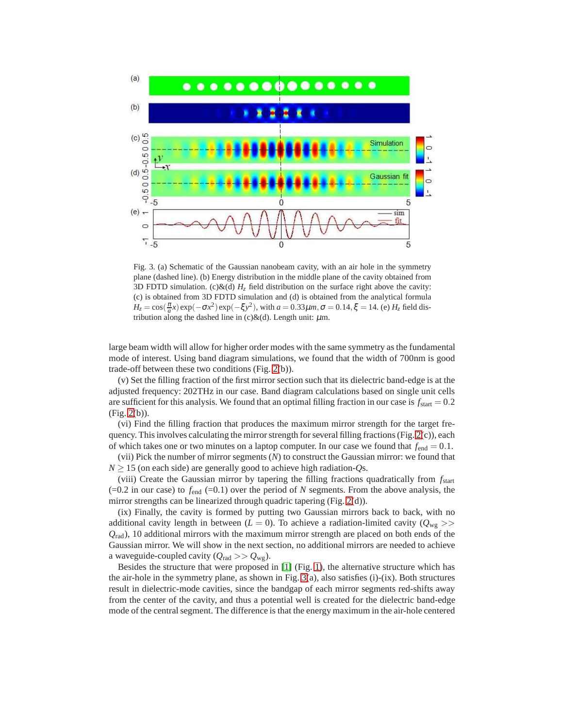

<span id="page-6-0"></span>Fig. 3. (a) Schematic of the Gaussian nanobeam cavity, with an air hole in the symmetry plane (dashed line). (b) Energy distribution in the middle plane of the cavity obtained from 3D FDTD simulation. (c) $\&$ (d)  $H_z$  field distribution on the surface right above the cavity: (c) is obtained from 3D FDTD simulation and (d) is obtained from the analytical formula  $H_z = \cos(\frac{\pi}{a}x) \exp(-\sigma x^2) \exp(-\xi y^2)$ , with  $a = 0.33 \mu m, \sigma = 0.14, \xi = 14$ . (e)  $H_z$  field distribution along the dashed line in  $(c)$ &(d). Length unit:  $\mu$ m.

large beam width will allow for higher order modes with the same symmetry as the fundamental mode of interest. Using band diagram simulations, we found that the width of 700nm is good trade-off between these two conditions (Fig. [2\(](#page-3-0)b)).

(v) Set the filling fraction of the first mirror section such that its dielectric band-edge is at the adjusted frequency: 202THz in our case. Band diagram calculations based on single unit cells are sufficient for this analysis. We found that an optimal filling fraction in our case is  $f_{\text{start}} = 0.2$ (Fig. [2\(](#page-3-0)b)).

(vi) Find the filling fraction that produces the maximum mirror strength for the target frequency. This involves calculating the mirror strength for several filling fractions (Fig. [2\(](#page-3-0)c)), each of which takes one or two minutes on a laptop computer. In our case we found that  $f_{end} = 0.1$ .

(vii) Pick the number of mirror segments (*N*) to construct the Gaussian mirror: we found that  $N > 15$  (on each side) are generally good to achieve high radiation-*Os*.

(viii) Create the Gaussian mirror by tapering the filling fractions quadratically from *f*start  $(=0.2$  in our case) to  $f_{\text{end}}$   $(=0.1)$  over the period of *N* segments. From the above analysis, the mirror strengths can be linearized through quadric tapering (Fig. [2\(](#page-3-0)d)).

(ix) Finally, the cavity is formed by putting two Gaussian mirrors back to back, with no additional cavity length in between ( $L = 0$ ). To achieve a radiation-limited cavity ( $Q_{wg}$ ) *Q*rad), 10 additional mirrors with the maximum mirror strength are placed on both ends of the Gaussian mirror. We will show in the next section, no additional mirrors are needed to achieve a waveguide-coupled cavity  $(Q_{\text{rad}} >> Q_{\text{wg}})$ .

Besides the structure that were proposed in [\[1\]](#page-0-0) (Fig. [1\)](#page-2-0), the alternative structure which has the air-hole in the symmetry plane, as shown in Fig. [3\(](#page-6-0)a), also satisfies (i)-(ix). Both structures result in dielectric-mode cavities, since the bandgap of each mirror segments red-shifts away from the center of the cavity, and thus a potential well is created for the dielectric band-edge mode of the central segment. The difference is that the energy maximum in the air-hole centered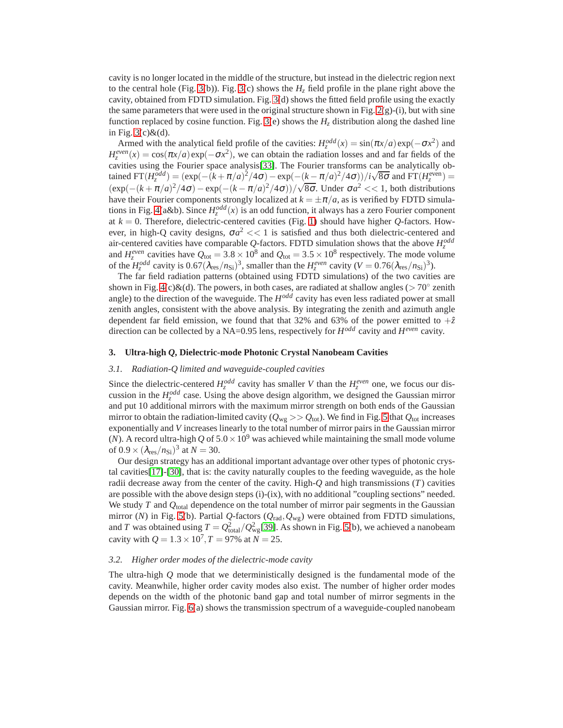cavity is no longer located in the middle of the structure, but instead in the dielectric region next to the central hole (Fig. [3\(](#page-6-0)b)). Fig. 3(c) shows the  $H_z$  field profile in the plane right above the cavity, obtained from FDTD simulation. Fig. [3\(](#page-6-0)d) shows the fitted field profile using the exactly the same parameters that were used in the original structure shown in Fig.  $2(g)$ -(i), but with sine function replaced by cosine function. Fig. [3\(](#page-6-0)e) shows the  $H<sub>z</sub>$  distribution along the dashed line in Fig.  $3(c)\&(d)$ .

Armed with the analytical field profile of the cavities:  $H_z^{odd}(x) = \sin(\pi x/a) \exp(-\sigma x^2)$  and  $H_z^{even}(x) = \cos(\pi x/a) \exp(-\sigma x^2)$ , we can obtain the radiation losses and and far fields of the cavities using the Fourier space analysis[\[33\]](#page-1-5). The Fourier transforms can be analytically obtained FT( $H_z^{odd}$ ) =  $(\exp(-(k+\pi/a)^2/4\sigma) - \exp(-(k-\pi/a)^2/4\sigma))/i\sqrt{8\sigma}$  and FT( $H_z^{even}$ ) =  $(\exp(-(k+\pi/a)^2/4\sigma) - \exp(-(k-\pi/a)^2/4\sigma))/\sqrt{8\sigma}$ . Under  $\sigma a^2 \ll 1$ , both distributions have their Fourier components strongly localized at  $k = \pm \pi/a$ , as is verified by FDTD simula-tions in Fig. [4\(](#page-8-0)a&b). Since  $H_z^{odd}(x)$  is an odd function, it always has a zero Fourier component at  $k = 0$ . Therefore, dielectric-centered cavities (Fig. [1\)](#page-2-0) should have higher  $Q$ -factors. However, in high-Q cavity designs,  $\sigma a^2 \ll 1$  is satisfied and thus both dielectric-centered and air-centered cavities have comparable *Q*-factors. FDTD simulation shows that the above  $H_z^{odd}$ and  $H_z^{even}$  cavities have  $Q_{\text{tot}} = 3.8 \times 10^8$  and  $Q_{\text{tot}} = 3.5 \times 10^8$  respectively. The mode volume of the  $H_z^{odd}$  cavity is  $0.67(\lambda_{res}/n_{Si})^3$ , smaller than the  $H_z^{even}$  cavity  $(V = 0.76(\lambda_{res}/n_{Si})^3)$ .

The far field radiation patterns (obtained using FDTD simulations) of the two cavities are shown in Fig. [4\(](#page-8-0)c)&(d). The powers, in both cases, are radiated at shallow angles ( $> 70^{\circ}$  zenith angle) to the direction of the waveguide. The *H odd* cavity has even less radiated power at small zenith angles, consistent with the above analysis. By integrating the zenith and azimuth angle dependent far field emission, we found that that 32% and 63% of the power emitted to  $+\hat{z}$ direction can be collected by a NA=0.95 lens, respectively for  $H^{odd}$  cavity and  $H^{even}$  cavity.

### **3. Ultra-high** *Q***, Dielectric-mode Photonic Crystal Nanobeam Cavities**

## *3.1. Radiation-Q limited and waveguide-coupled cavities*

Since the dielectric-centered  $H_z^{odd}$  cavity has smaller *V* than the  $H_z^{even}$  one, we focus our discussion in the  $H_z^{odd}$  case. Using the above design algorithm, we designed the Gaussian mirror and put 10 additional mirrors with the maximum mirror strength on both ends of the Gaussian mirror to obtain the radiation-limited cavity ( $Q_{wg} >> Q_{tot}$ ). We find in Fig. [5](#page-9-0) that  $Q_{tot}$  increases exponentially and *V* increases linearly to the total number of mirror pairs in the Gaussian mirror (*N*). A record ultra-high Q of  $5.0 \times 10^9$  was achieved while maintaining the small mode volume of  $0.9 \times (\lambda_{\text{res}}/n_{\text{Si}})^3$  at  $N = 30$ .

Our design strategy has an additional important advantage over other types of photonic crystal cavities[\[17\]](#page-0-11)-[\[30\]](#page-1-0), that is: the cavity naturally couples to the feeding waveguide, as the hole radii decrease away from the center of the cavity. High-*Q* and high transmissions (*T*) cavities are possible with the above design steps (i)-(ix), with no additional "coupling sections" needed. We study *T* and *Q*total dependence on the total number of mirror pair segments in the Gaussian mirror (*N*) in Fig. [5\(](#page-9-0)b). Partial *Q*-factors (*Q*rad,*Q*wg) were obtained from FDTD simulations, and *T* was obtained using  $T = Q_{total}^2/Q_{wg}^2$  [\[39\]](#page-1-11). As shown in Fig. [5\(](#page-9-0)b), we achieved a nanobeam cavity with  $Q = 1.3 \times 10^7$ ,  $T = 97\%$  at  $N = 25$ .

#### *3.2. Higher order modes of the dielectric-mode cavity*

The ultra-high *Q* mode that we deterministically designed is the fundamental mode of the cavity. Meanwhile, higher order cavity modes also exist. The number of higher order modes depends on the width of the photonic band gap and total number of mirror segments in the Gaussian mirror. Fig. [6\(](#page-10-0)a) shows the transmission spectrum of a waveguide-coupled nanobeam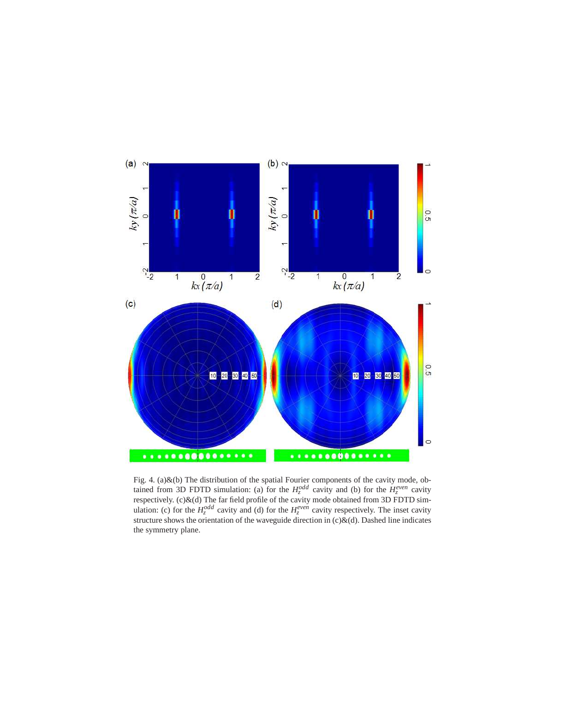

<span id="page-8-0"></span>Fig. 4. (a) $\&$ (b) The distribution of the spatial Fourier components of the cavity mode, obtained from 3D FDTD simulation: (a) for the  $H_z^{odd}$  cavity and (b) for the  $H_z^{even}$  cavity respectively.  $(c)$ & $(d)$  The far field profile of the cavity mode obtained from 3D FDTD simulation: (c) for the  $H_z^{odd}$  cavity and (d) for the  $H_z^{even}$  cavity respectively. The inset cavity structure shows the orientation of the waveguide direction in  $(c)\&(d)$ . Dashed line indicates the symmetry plane.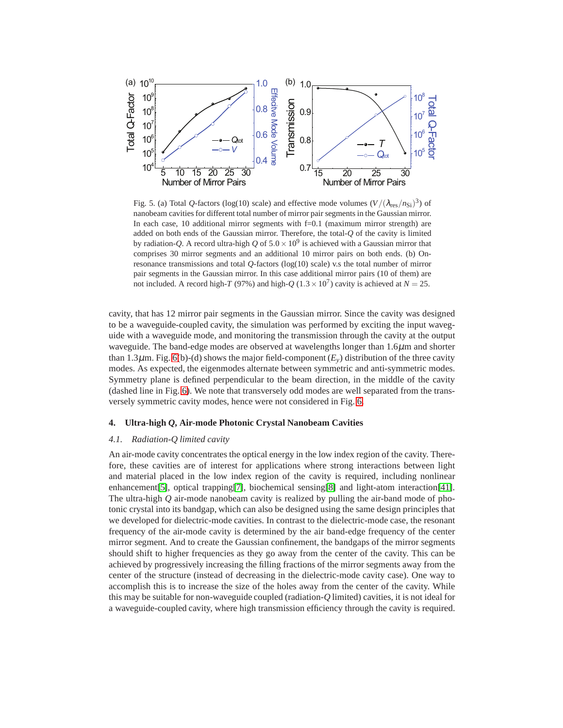

<span id="page-9-0"></span>Fig. 5. (a) Total Q-factors (log(10) scale) and effective mode volumes  $(V/(\lambda_{res}/n_{Si})^3)$  of nanobeam cavities for different total number of mirror pair segments in the Gaussian mirror. In each case, 10 additional mirror segments with f=0.1 (maximum mirror strength) are added on both ends of the Gaussian mirror. Therefore, the total-*Q* of the cavity is limited by radiation-*Q*. A record ultra-high *Q* of  $5.0 \times 10^9$  is achieved with a Gaussian mirror that comprises 30 mirror segments and an additional 10 mirror pairs on both ends. (b) Onresonance transmissions and total *Q*-factors (log(10) scale) v.s the total number of mirror pair segments in the Gaussian mirror. In this case additional mirror pairs (10 of them) are not included. A record high-*T* (97%) and high- $Q$  (1.3 × 10<sup>7</sup>) cavity is achieved at  $N = 25$ .

cavity, that has 12 mirror pair segments in the Gaussian mirror. Since the cavity was designed to be a waveguide-coupled cavity, the simulation was performed by exciting the input waveguide with a waveguide mode, and monitoring the transmission through the cavity at the output waveguide. The band-edge modes are observed at wavelengths longer than  $1.6\mu$ m and shorter than 1.3 $\mu$ m. Fig. [6\(](#page-10-0)b)-(d) shows the major field-component  $(E_v)$  distribution of the three cavity modes. As expected, the eigenmodes alternate between symmetric and anti-symmetric modes. Symmetry plane is defined perpendicular to the beam direction, in the middle of the cavity (dashed line in Fig. [6\)](#page-10-0). We note that transversely odd modes are well separated from the transversely symmetric cavity modes, hence were not considered in Fig. [6.](#page-10-0)

## **4. Ultra-high** *Q***, Air-mode Photonic Crystal Nanobeam Cavities**

#### *4.1. Radiation-Q limited cavity*

An air-mode cavity concentrates the optical energy in the low index region of the cavity. Therefore, these cavities are of interest for applications where strong interactions between light and material placed in the low index region of the cavity is required, including nonlinear enhancement[\[5\]](#page-0-4), optical trapping[\[7\]](#page-0-6), biochemical sensing[\[8\]](#page-0-7) and light-atom interaction[\[41\]](#page-1-13). The ultra-high *Q* air-mode nanobeam cavity is realized by pulling the air-band mode of photonic crystal into its bandgap, which can also be designed using the same design principles that we developed for dielectric-mode cavities. In contrast to the dielectric-mode case, the resonant frequency of the air-mode cavity is determined by the air band-edge frequency of the center mirror segment. And to create the Gaussian confinement, the bandgaps of the mirror segments should shift to higher frequencies as they go away from the center of the cavity. This can be achieved by progressively increasing the filling fractions of the mirror segments away from the center of the structure (instead of decreasing in the dielectric-mode cavity case). One way to accomplish this is to increase the size of the holes away from the center of the cavity. While this may be suitable for non-waveguide coupled (radiation-*Q* limited) cavities, it is not ideal for a waveguide-coupled cavity, where high transmission efficiency through the cavity is required.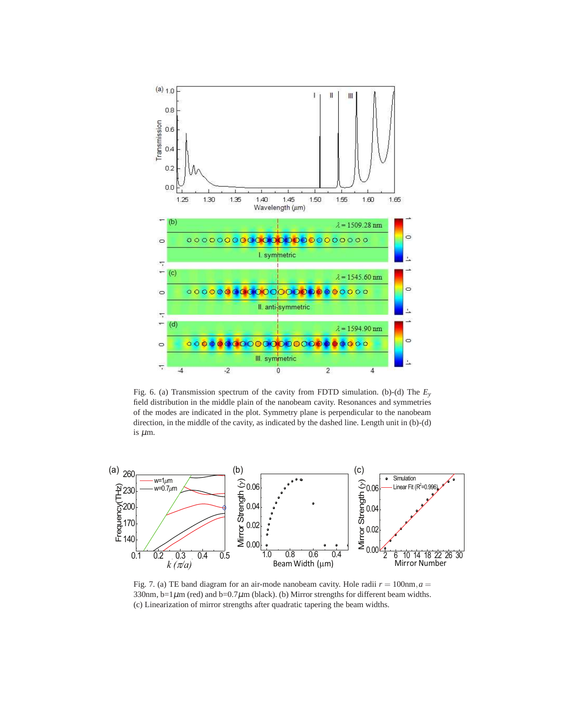

<span id="page-10-0"></span>Fig. 6. (a) Transmission spectrum of the cavity from FDTD simulation. (b)-(d) The *Ey* field distribution in the middle plain of the nanobeam cavity. Resonances and symmetries of the modes are indicated in the plot. Symmetry plane is perpendicular to the nanobeam direction, in the middle of the cavity, as indicated by the dashed line. Length unit in (b)-(d) is  $\mu$ m.



<span id="page-10-1"></span>Fig. 7. (a) TE band diagram for an air-mode nanobeam cavity. Hole radii  $r = 100$ nm,  $a =$ 330nm, b=1 $\mu$ m (red) and b=0.7 $\mu$ m (black). (b) Mirror strengths for different beam widths. (c) Linearization of mirror strengths after quadratic tapering the beam widths.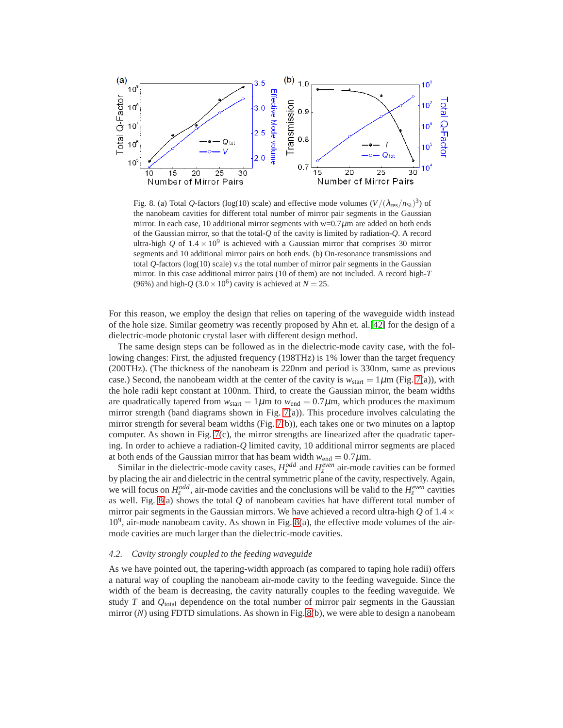

<span id="page-11-0"></span>Fig. 8. (a) Total Q-factors (log(10) scale) and effective mode volumes  $(V/(\lambda_{res}/n_{Si})^3)$  of the nanobeam cavities for different total number of mirror pair segments in the Gaussian mirror. In each case, 10 additional mirror segments with  $w=0.7\mu$ m are added on both ends of the Gaussian mirror, so that the total-*Q* of the cavity is limited by radiation-*Q*. A record ultra-high *Q* of  $1.4 \times 10^9$  is achieved with a Gaussian mirror that comprises 30 mirror segments and 10 additional mirror pairs on both ends. (b) On-resonance transmissions and total  $Q$ -factors ( $log(10)$  scale) v.s the total number of mirror pair segments in the Gaussian mirror. In this case additional mirror pairs (10 of them) are not included. A record high-*T* (96%) and high- $Q$  (3.0  $\times$  10<sup>6</sup>) cavity is achieved at  $N = 25$ .

For this reason, we employ the design that relies on tapering of the waveguide width instead of the hole size. Similar geometry was recently proposed by Ahn et. al.[\[42\]](#page-1-14) for the design of a dielectric-mode photonic crystal laser with different design method.

The same design steps can be followed as in the dielectric-mode cavity case, with the following changes: First, the adjusted frequency (198THz) is 1% lower than the target frequency (200THz). (The thickness of the nanobeam is 220nm and period is 330nm, same as previous case.) Second, the nanobeam width at the center of the cavity is  $w_{\text{start}} = 1 \mu \text{m}$  (Fig. [7\(](#page-10-1)a)), with the hole radii kept constant at 100nm. Third, to create the Gaussian mirror, the beam widths are quadratically tapered from  $w_{\text{start}} = 1 \mu \text{m}$  to  $w_{\text{end}} = 0.7 \mu \text{m}$ , which produces the maximum mirror strength (band diagrams shown in Fig. [7\(](#page-10-1)a)). This procedure involves calculating the mirror strength for several beam widths (Fig. [7\(](#page-10-1)b)), each takes one or two minutes on a laptop computer. As shown in Fig.  $7(c)$ , the mirror strengths are linearized after the quadratic tapering. In order to achieve a radiation-*Q* limited cavity, 10 additional mirror segments are placed at both ends of the Gaussian mirror that has beam width  $w_{end} = 0.7 \mu$ m.

Similar in the dielectric-mode cavity cases,  $H_z^{odd}$  and  $H_z^{even}$  air-mode cavities can be formed by placing the air and dielectric in the central symmetric plane of the cavity, respectively. Again, we will focus on  $H_z^{odd}$ , air-mode cavities and the conclusions will be valid to the  $H_z^{even}$  cavities as well. Fig. [8\(](#page-11-0)a) shows the total *Q* of nanobeam cavities hat have different total number of mirror pair segments in the Gaussian mirrors. We have achieved a record ultra-high *Q* of 1.4  $\times$  $10<sup>9</sup>$ , air-mode nanobeam cavity. As shown in Fig. [8\(](#page-11-0)a), the effective mode volumes of the airmode cavities are much larger than the dielectric-mode cavities.

## *4.2. Cavity strongly coupled to the feeding waveguide*

As we have pointed out, the tapering-width approach (as compared to taping hole radii) offers a natural way of coupling the nanobeam air-mode cavity to the feeding waveguide. Since the width of the beam is decreasing, the cavity naturally couples to the feeding waveguide. We study *T* and *Q*total dependence on the total number of mirror pair segments in the Gaussian mirror (*N*) using FDTD simulations. As shown in Fig. [8\(](#page-11-0)b), we were able to design a nanobeam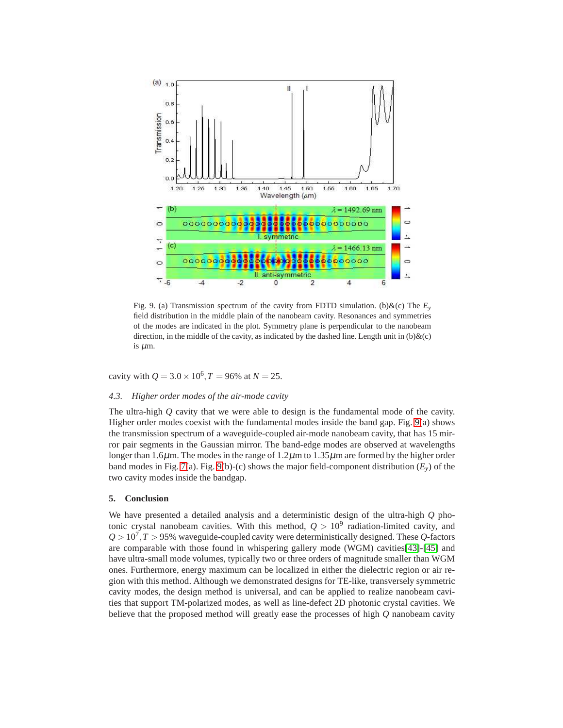

<span id="page-12-0"></span>Fig. 9. (a) Transmission spectrum of the cavity from FDTD simulation. (b) $\&c$  The  $E<sub>y</sub>$ field distribution in the middle plain of the nanobeam cavity. Resonances and symmetries of the modes are indicated in the plot. Symmetry plane is perpendicular to the nanobeam direction, in the middle of the cavity, as indicated by the dashed line. Length unit in  $(b)$ &(c) is µm.

cavity with  $Q = 3.0 \times 10^6$ ,  $T = 96\%$  at  $N = 25$ .

## *4.3. Higher order modes of the air-mode cavity*

The ultra-high *Q* cavity that we were able to design is the fundamental mode of the cavity. Higher order modes coexist with the fundamental modes inside the band gap. Fig. [9\(](#page-12-0)a) shows the transmission spectrum of a waveguide-coupled air-mode nanobeam cavity, that has 15 mirror pair segments in the Gaussian mirror. The band-edge modes are observed at wavelengths longer than 1.6 $\mu$ m. The modes in the range of 1.2 $\mu$ m to 1.35 $\mu$ m are formed by the higher order band modes in Fig. [7\(](#page-10-1)a). Fig. [9\(](#page-12-0)b)-(c) shows the major field-component distribution  $(E_y)$  of the two cavity modes inside the bandgap.

## **5. Conclusion**

We have presented a detailed analysis and a deterministic design of the ultra-high *Q* photonic crystal nanobeam cavities. With this method,  $Q > 10^9$  radiation-limited cavity, and  $Q > 10^7$ ,  $T > 95\%$  waveguide-coupled cavity were deterministically designed. These  $Q$ -factors are comparable with those found in whispering gallery mode (WGM) cavities[\[43\]](#page-1-15)-[\[45\]](#page-1-16) and have ultra-small mode volumes, typically two or three orders of magnitude smaller than WGM ones. Furthermore, energy maximum can be localized in either the dielectric region or air region with this method. Although we demonstrated designs for TE-like, transversely symmetric cavity modes, the design method is universal, and can be applied to realize nanobeam cavities that support TM-polarized modes, as well as line-defect 2D photonic crystal cavities. We believe that the proposed method will greatly ease the processes of high *Q* nanobeam cavity